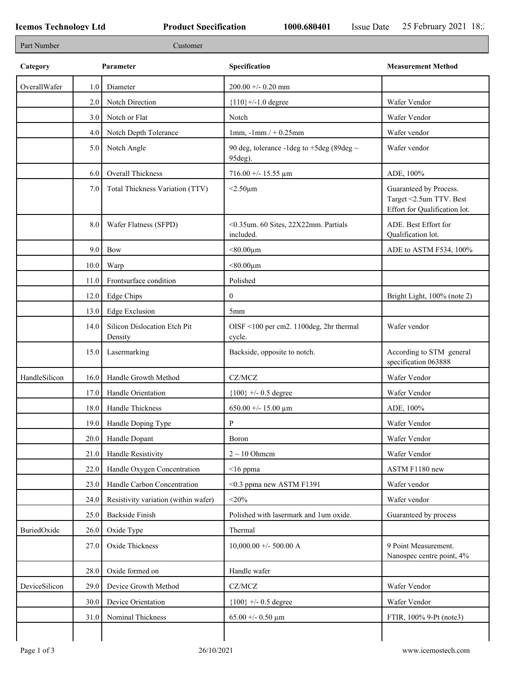٦

| Part Number   |      | Customer                                |                                                              |                                                                                    |
|---------------|------|-----------------------------------------|--------------------------------------------------------------|------------------------------------------------------------------------------------|
| Category      |      | Parameter                               | Specification                                                | <b>Measurement Method</b>                                                          |
| OverallWafer  | 1.0  | Diameter                                | $200.00 + 0.20$ mm                                           |                                                                                    |
|               | 2.0  | Notch Direction                         | ${110}$ +/-1.0 degree                                        | Wafer Vendor                                                                       |
|               | 3.0  | Notch or Flat                           | Notch                                                        | Wafer Vendor                                                                       |
|               | 4.0  | Notch Depth Tolerance                   | $1mm, -1mm/ +0.25mm$                                         | Wafer vendor                                                                       |
|               | 5.0  | Notch Angle                             | 90 deg, tolerance -1 deg to +5 deg (89 deg $\sim$<br>95deg). | Wafer vendor                                                                       |
|               | 6.0  | Overall Thickness                       | $716.00 + - 15.55 \text{ µm}$                                | ADE, 100%                                                                          |
|               | 7.0  | Total Thickness Variation (TTV)         | $<$ 2.50 $\mu$ m                                             | Guaranteed by Process.<br>Target <2.5um TTV. Best<br>Effort for Qualification lot. |
|               | 8.0  | Wafer Flatness (SFPD)                   | <0.35um. 60 Sites, 22X22mm. Partials<br>included.            | ADE. Best Effort for<br>Qualification lot.                                         |
|               | 9.0  | <b>Bow</b>                              | $< 80.00 \mu m$                                              | ADE to ASTM F534, 100%                                                             |
|               | 10.0 | Warp                                    | $< 80.00 \mu m$                                              |                                                                                    |
|               | 11.0 | Frontsurface condition                  | Polished                                                     |                                                                                    |
|               | 12.0 | Edge Chips                              | $\mathbf{0}$                                                 | Bright Light, 100% (note 2)                                                        |
|               | 13.0 | <b>Edge Exclusion</b>                   | 5 <sub>mm</sub>                                              |                                                                                    |
|               | 14.0 | Silicon Dislocation Etch Pit<br>Density | OISF <100 per cm2. 1100deg, 2hr thermal<br>cycle.            | Wafer vendor                                                                       |
|               | 15.0 | Lasermarking                            | Backside, opposite to notch.                                 | According to STM general<br>specification 063888                                   |
| HandleSilicon | 16.0 | Handle Growth Method                    | CZ/MCZ                                                       | Wafer Vendor                                                                       |
|               | 17.0 | Handle Orientation                      | ${100}$ +/- 0.5 degree                                       | Wafer Vendor                                                                       |
|               | 18.0 | Handle Thickness                        | 650.00 +/- 15.00 $\mu$ m                                     | ADE, 100%                                                                          |
|               |      | 19.0 Handle Doping Type                 | ${\bf P}$                                                    | Wafer Vendor                                                                       |
|               | 20.0 | Handle Dopant                           | Boron                                                        | Wafer Vendor                                                                       |
|               | 21.0 | Handle Resistivity                      | $2 \sim 10$ Ohmem                                            | Wafer Vendor                                                                       |
|               | 22.0 | Handle Oxygen Concentration             | $\leq$ 16 ppma                                               | ASTM F1180 new                                                                     |
|               | 23.0 | Handle Carbon Concentration             | <0.3 ppma new ASTM F1391                                     | Wafer vendor                                                                       |
|               | 24.0 | Resistivity variation (within wafer)    | $<$ 20%                                                      | Wafer vendor                                                                       |
|               | 25.0 | <b>Backside Finish</b>                  | Polished with lasermark and 1um oxide.                       | Guaranteed by process                                                              |
| BuriedOxide   | 26.0 | Oxide Type                              | Thermal                                                      |                                                                                    |
|               | 27.0 | Oxide Thickness                         | $10,000.00 +/- 500.00 A$                                     | 9 Point Measurement.<br>Nanospec centre point, 4%                                  |
|               | 28.0 | Oxide formed on                         | Handle wafer                                                 |                                                                                    |
| DeviceSilicon | 29.0 | Device Growth Method                    | $CZ/MCZ$                                                     | Wafer Vendor                                                                       |
|               |      |                                         |                                                              |                                                                                    |
|               | 30.0 | Device Orientation                      | ${100}$ +/- 0.5 degree                                       | Wafer Vendor                                                                       |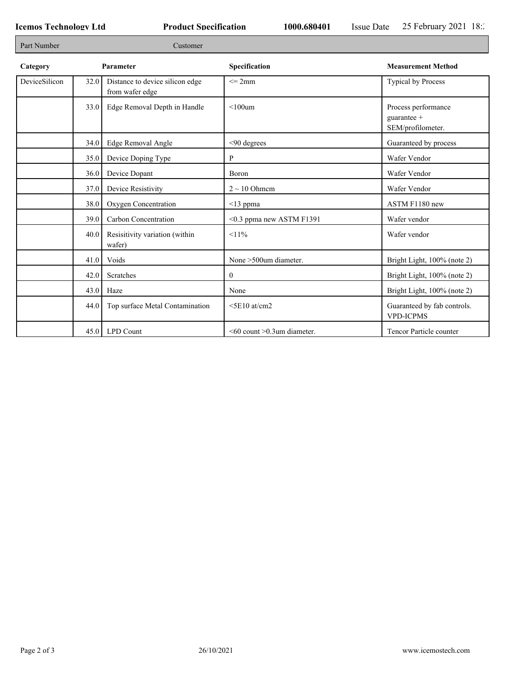Г

٦

| Part Number<br>Customer |           |                                                    |                                         |                                                           |  |
|-------------------------|-----------|----------------------------------------------------|-----------------------------------------|-----------------------------------------------------------|--|
| Category                | Parameter |                                                    | Specification                           | <b>Measurement Method</b>                                 |  |
| DeviceSilicon           | 32.0      | Distance to device silicon edge<br>from wafer edge | $\leq$ 2mm                              | Typical by Process                                        |  |
|                         | 33.0      | Edge Removal Depth in Handle                       | $< 100$ um                              | Process performance<br>guarantee $+$<br>SEM/profilometer. |  |
|                         | 34.0      | Edge Removal Angle                                 | <90 degrees                             | Guaranteed by process                                     |  |
|                         | 35.0      | Device Doping Type                                 | P                                       | Wafer Vendor                                              |  |
|                         | 36.0      | Device Dopant                                      | Boron                                   | Wafer Vendor                                              |  |
|                         | 37.0      | Device Resistivity                                 | $2 \sim 10$ Ohmem                       | Wafer Vendor                                              |  |
|                         | 38.0      | Oxygen Concentration                               | $<$ 13 ppma                             | ASTM F1180 new                                            |  |
|                         | 39.0      | Carbon Concentration                               | <0.3 ppma new ASTM F1391                | Wafer vendor                                              |  |
|                         | 40.0      | Resisitivity variation (within<br>wafer)           | $11\%$                                  | Wafer vendor                                              |  |
|                         | 41.0      | Voids                                              | None >500um diameter.                   | Bright Light, 100% (note 2)                               |  |
|                         | 42.0      | Scratches                                          | $\overline{0}$                          | Bright Light, 100% (note 2)                               |  |
|                         | 43.0      | Haze                                               | None                                    | Bright Light, 100% (note 2)                               |  |
|                         | 44.0      | Top surface Metal Contamination                    | $\leq$ 5E10 at/cm2                      | Guaranteed by fab controls.<br><b>VPD-ICPMS</b>           |  |
|                         |           | 45.0 LPD Count                                     | $\leq 60$ count $\geq 0.3$ um diameter. | Tencor Particle counter                                   |  |